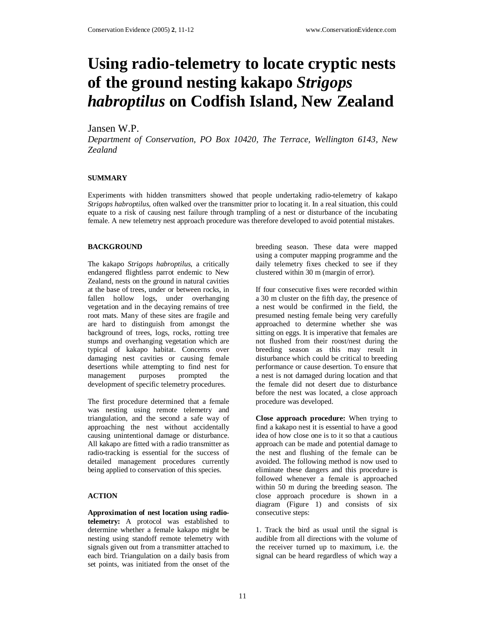# **Using radio-telemetry to locate cryptic nests of the ground nesting kakapo** *Strigops habroptilus* **on Codfish Island, New Zealand**

# Jansen W.P.

*Department of Conservation, PO Box 10420, The Terrace, Wellington 6143, New Zealand* 

### **SUMMARY**

Experiments with hidden transmitters showed that people undertaking radio-telemetry of kakapo *Strigops habroptilus,* often walked over the transmitter prior to locating it. In a real situation, this could equate to a risk of causing nest failure through trampling of a nest or disturbance of the incubating female. A new telemetry nest approach procedure was therefore developed to avoid potential mistakes.

### **BACKGROUND**

The kakapo *Strigops habroptilus*, a critically endangered flightless parrot endemic to New Zealand, nests on the ground in natural cavities at the base of trees, under or between rocks, in fallen hollow logs, under overhanging vegetation and in the decaying remains of tree root mats. Many of these sites are fragile and are hard to distinguish from amongst the background of trees, logs, rocks, rotting tree stumps and overhanging vegetation which are typical of kakapo habitat. Concerns over damaging nest cavities or causing female desertions while attempting to find nest for management purposes prompted the development of specific telemetry procedures.

The first procedure determined that a female was nesting using remote telemetry and triangulation, and the second a safe way of approaching the nest without accidentally causing unintentional damage or disturbance. All kakapo are fitted with a radio transmitter as radio-tracking is essential for the success of detailed management procedures currently being applied to conservation of this species.

## **ACTION**

**Approximation of nest location using radiotelemetry:** A protocol was established to determine whether a female kakapo might be nesting using standoff remote telemetry with signals given out from a transmitter attached to each bird. Triangulation on a daily basis from set points, was initiated from the onset of the breeding season. These data were mapped using a computer mapping programme and the daily telemetry fixes checked to see if they clustered within 30 m (margin of error).

If four consecutive fixes were recorded within a 30 m cluster on the fifth day, the presence of a nest would be confirmed in the field, the presumed nesting female being very carefully approached to determine whether she was sitting on eggs. It is imperative that females are not flushed from their roost/nest during the breeding season as this may result in disturbance which could be critical to breeding performance or cause desertion. To ensure that a nest is not damaged during location and that the female did not desert due to disturbance before the nest was located, a close approach procedure was developed.

**Close approach procedure:** When trying to find a kakapo nest it is essential to have a good idea of how close one is to it so that a cautious approach can be made and potential damage to the nest and flushing of the female can be avoided. The following method is now used to eliminate these dangers and this procedure is followed whenever a female is approached within 50 m during the breeding season. The close approach procedure is shown in a diagram (Figure 1) and consists of six consecutive steps:

1. Track the bird as usual until the signal is audible from all directions with the volume of the receiver turned up to maximum, i.e. the signal can be heard regardless of which way a